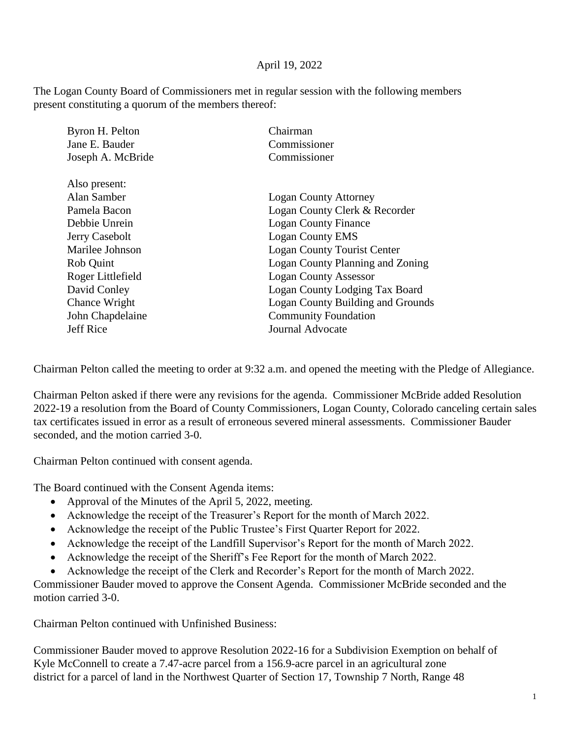## April 19, 2022

The Logan County Board of Commissioners met in regular session with the following members present constituting a quorum of the members thereof:

| Byron H. Pelton   | Chairman                                 |
|-------------------|------------------------------------------|
| Jane E. Bauder    | Commissioner                             |
| Joseph A. McBride | Commissioner                             |
| Also present:     |                                          |
| Alan Samber       | <b>Logan County Attorney</b>             |
| Pamela Bacon      | Logan County Clerk & Recorder            |
| Debbie Unrein     | <b>Logan County Finance</b>              |
| Jerry Casebolt    | <b>Logan County EMS</b>                  |
| Marilee Johnson   | <b>Logan County Tourist Center</b>       |
| Rob Quint         | Logan County Planning and Zoning         |
| Roger Littlefield | <b>Logan County Assessor</b>             |
| David Conley      | Logan County Lodging Tax Board           |
| Chance Wright     | <b>Logan County Building and Grounds</b> |
| John Chapdelaine  | <b>Community Foundation</b>              |
| <b>Jeff Rice</b>  | <b>Journal Advocate</b>                  |
|                   |                                          |

Chairman Pelton called the meeting to order at 9:32 a.m. and opened the meeting with the Pledge of Allegiance.

Chairman Pelton asked if there were any revisions for the agenda. Commissioner McBride added Resolution 2022-19 a resolution from the Board of County Commissioners, Logan County, Colorado canceling certain sales tax certificates issued in error as a result of erroneous severed mineral assessments. Commissioner Bauder seconded, and the motion carried 3-0.

Chairman Pelton continued with consent agenda.

The Board continued with the Consent Agenda items:

- Approval of the Minutes of the April 5, 2022, meeting.
- Acknowledge the receipt of the Treasurer's Report for the month of March 2022.
- Acknowledge the receipt of the Public Trustee's First Quarter Report for 2022.
- Acknowledge the receipt of the Landfill Supervisor's Report for the month of March 2022.
- Acknowledge the receipt of the Sheriff's Fee Report for the month of March 2022.
- Acknowledge the receipt of the Clerk and Recorder's Report for the month of March 2022.

Commissioner Bauder moved to approve the Consent Agenda. Commissioner McBride seconded and the motion carried 3-0.

Chairman Pelton continued with Unfinished Business:

Commissioner Bauder moved to approve Resolution 2022-16 for a Subdivision Exemption on behalf of Kyle McConnell to create a 7.47-acre parcel from a 156.9-acre parcel in an agricultural zone district for a parcel of land in the Northwest Quarter of Section 17, Township 7 North, Range 48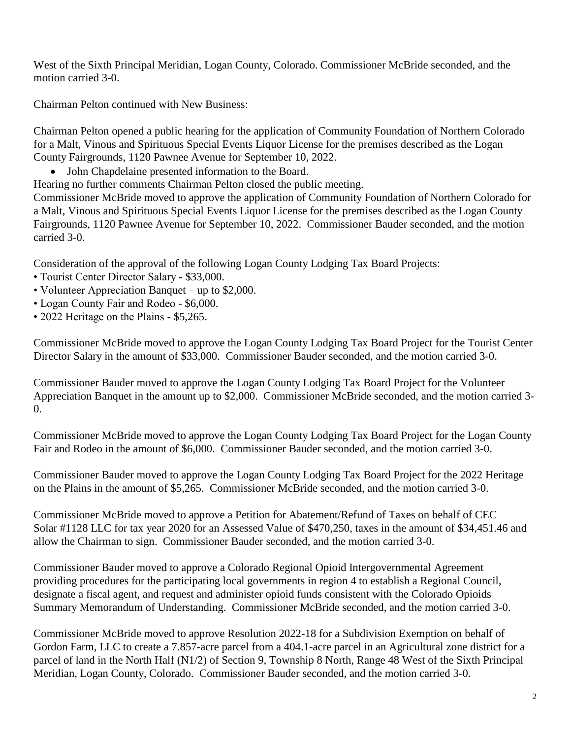West of the Sixth Principal Meridian, Logan County, Colorado. Commissioner McBride seconded, and the motion carried 3-0.

Chairman Pelton continued with New Business:

Chairman Pelton opened a public hearing for the application of Community Foundation of Northern Colorado for a Malt, Vinous and Spirituous Special Events Liquor License for the premises described as the Logan County Fairgrounds, 1120 Pawnee Avenue for September 10, 2022.

• John Chapdelaine presented information to the Board.

Hearing no further comments Chairman Pelton closed the public meeting.

Commissioner McBride moved to approve the application of Community Foundation of Northern Colorado for a Malt, Vinous and Spirituous Special Events Liquor License for the premises described as the Logan County Fairgrounds, 1120 Pawnee Avenue for September 10, 2022. Commissioner Bauder seconded, and the motion carried 3-0.

Consideration of the approval of the following Logan County Lodging Tax Board Projects:

- Tourist Center Director Salary \$33,000.
- Volunteer Appreciation Banquet up to \$2,000.
- Logan County Fair and Rodeo \$6,000.
- 2022 Heritage on the Plains \$5,265.

Commissioner McBride moved to approve the Logan County Lodging Tax Board Project for the Tourist Center Director Salary in the amount of \$33,000. Commissioner Bauder seconded, and the motion carried 3-0.

Commissioner Bauder moved to approve the Logan County Lodging Tax Board Project for the Volunteer Appreciation Banquet in the amount up to \$2,000. Commissioner McBride seconded, and the motion carried 3-  $\Omega$ .

Commissioner McBride moved to approve the Logan County Lodging Tax Board Project for the Logan County Fair and Rodeo in the amount of \$6,000. Commissioner Bauder seconded, and the motion carried 3-0.

Commissioner Bauder moved to approve the Logan County Lodging Tax Board Project for the 2022 Heritage on the Plains in the amount of \$5,265. Commissioner McBride seconded, and the motion carried 3-0.

Commissioner McBride moved to approve a Petition for Abatement/Refund of Taxes on behalf of CEC Solar #1128 LLC for tax year 2020 for an Assessed Value of \$470,250, taxes in the amount of \$34,451.46 and allow the Chairman to sign. Commissioner Bauder seconded, and the motion carried 3-0.

Commissioner Bauder moved to approve a Colorado Regional Opioid Intergovernmental Agreement providing procedures for the participating local governments in region 4 to establish a Regional Council, designate a fiscal agent, and request and administer opioid funds consistent with the Colorado Opioids Summary Memorandum of Understanding. Commissioner McBride seconded, and the motion carried 3-0.

Commissioner McBride moved to approve Resolution 2022-18 for a Subdivision Exemption on behalf of Gordon Farm, LLC to create a 7.857-acre parcel from a 404.1-acre parcel in an Agricultural zone district for a parcel of land in the North Half (N1/2) of Section 9, Township 8 North, Range 48 West of the Sixth Principal Meridian, Logan County, Colorado. Commissioner Bauder seconded, and the motion carried 3-0.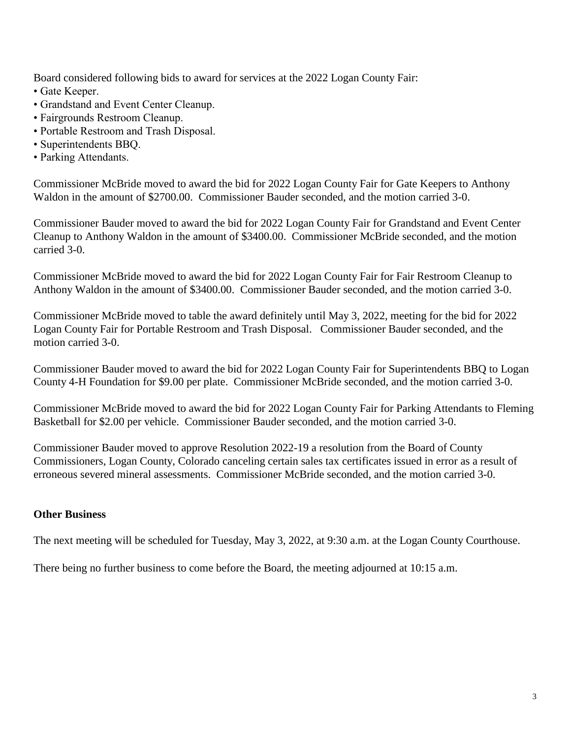Board considered following bids to award for services at the 2022 Logan County Fair:

- Gate Keeper.
- Grandstand and Event Center Cleanup.
- Fairgrounds Restroom Cleanup.
- Portable Restroom and Trash Disposal.
- Superintendents BBQ.
- Parking Attendants.

Commissioner McBride moved to award the bid for 2022 Logan County Fair for Gate Keepers to Anthony Waldon in the amount of \$2700.00. Commissioner Bauder seconded, and the motion carried 3-0.

Commissioner Bauder moved to award the bid for 2022 Logan County Fair for Grandstand and Event Center Cleanup to Anthony Waldon in the amount of \$3400.00. Commissioner McBride seconded, and the motion carried 3-0.

Commissioner McBride moved to award the bid for 2022 Logan County Fair for Fair Restroom Cleanup to Anthony Waldon in the amount of \$3400.00. Commissioner Bauder seconded, and the motion carried 3-0.

Commissioner McBride moved to table the award definitely until May 3, 2022, meeting for the bid for 2022 Logan County Fair for Portable Restroom and Trash Disposal. Commissioner Bauder seconded, and the motion carried 3-0.

Commissioner Bauder moved to award the bid for 2022 Logan County Fair for Superintendents BBQ to Logan County 4-H Foundation for \$9.00 per plate. Commissioner McBride seconded, and the motion carried 3-0.

Commissioner McBride moved to award the bid for 2022 Logan County Fair for Parking Attendants to Fleming Basketball for \$2.00 per vehicle. Commissioner Bauder seconded, and the motion carried 3-0.

Commissioner Bauder moved to approve Resolution 2022-19 a resolution from the Board of County Commissioners, Logan County, Colorado canceling certain sales tax certificates issued in error as a result of erroneous severed mineral assessments. Commissioner McBride seconded, and the motion carried 3-0.

## **Other Business**

The next meeting will be scheduled for Tuesday, May 3, 2022, at 9:30 a.m. at the Logan County Courthouse.

There being no further business to come before the Board, the meeting adjourned at 10:15 a.m.